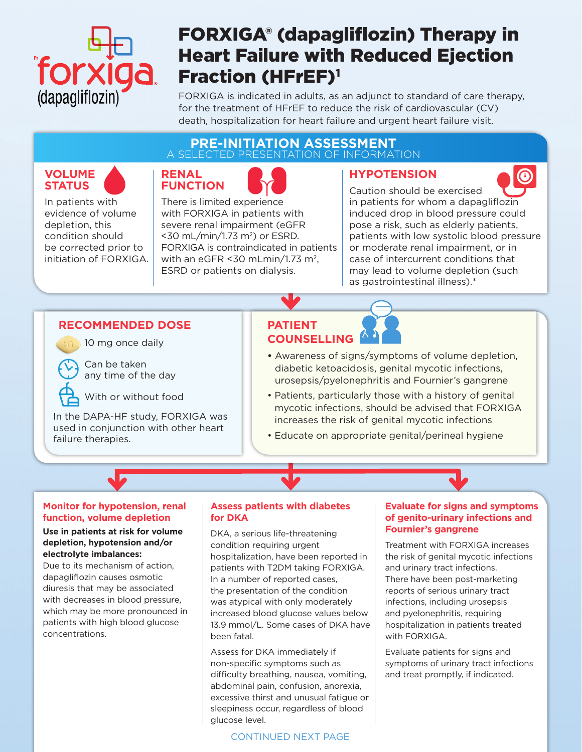

# FORXIGA® (dapagliflozin) Therapy in Heart Failure with Reduced Ejection Fraction (HFrEF)<sup>1</sup>

FORXIGA is indicated in adults, as an adjunct to standard of care therapy, for the treatment of HFrEF to reduce the risk of cardiovascular (CV) death, hospitalization for heart failure and urgent heart failure visit.

### **PRE-INITIATION ASSESSMENT** A SELECTED PRESENTATION OF INFORMATION







In patients with evidence of volume depletion, this condition should be corrected prior to initiation of FORXIGA. There is limited experience with FORXIGA in patients with severe renal impairment (eGFR  $<$ 30 mL/min/1.73 m<sup>2</sup>) or ESRD. FORXIGA is contraindicated in patients with an eGFR  $<$ 30 mLmin/1.73 m<sup>2</sup>, ESRD or patients on dialysis.

# **HYPOTENSION**



Caution should be exercised in patients for whom a dapagliflozin induced drop in blood pressure could pose a risk, such as elderly patients, patients with low systolic blood pressure or moderate renal impairment, or in case of intercurrent conditions that may lead to volume depletion (such as gastrointestinal illness).\*

## **RECOMMENDED DOSE PATIENT**



10 mg once daily

Can be taken any time of the day

With or without food

In the DAPA-HF study, FORXIGA was used in conjunction with other heart failure therapies.

# **COUNSELLING**

- Awareness of signs/symptoms of volume depletion, diabetic ketoacidosis, genital mycotic infections, urosepsis/pyelonephritis and Fournier's gangrene
- Patients, particularly those with a history of genital mycotic infections, should be advised that FORXIGA increases the risk of genital mycotic infections
- Educate on appropriate genital/perineal hygiene

#### **Monitor for hypotension, renal function, volume depletion**

#### **Use in patients at risk for volume depletion, hypotension and/or electrolyte imbalances:**

Due to its mechanism of action, dapagliflozin causes osmotic diuresis that may be associated with decreases in blood pressure, which may be more pronounced in patients with high blood glucose concentrations.

#### **Assess patients with diabetes for DKA**

DKA, a serious life-threatening condition requiring urgent hospitalization, have been reported in patients with T2DM taking FORXIGA. In a number of reported cases, the presentation of the condition was atypical with only moderately increased blood glucose values below 13.9 mmol/L. Some cases of DKA have been fatal.

Assess for DKA immediately if non-specific symptoms such as difficulty breathing, nausea, vomiting, abdominal pain, confusion, anorexia, excessive thirst and unusual fatigue or sleepiness occur, regardless of blood glucose level.

#### CONTINUED NEXT PAGE

#### **Evaluate for signs and symptoms of genito-urinary infections and Fournier's gangrene**

Treatment with FORXIGA increases the risk of genital mycotic infections and urinary tract infections. There have been post-marketing reports of serious urinary tract infections, including urosepsis and pyelonephritis, requiring hospitalization in patients treated with FORXIGA.

Evaluate patients for signs and symptoms of urinary tract infections and treat promptly, if indicated.